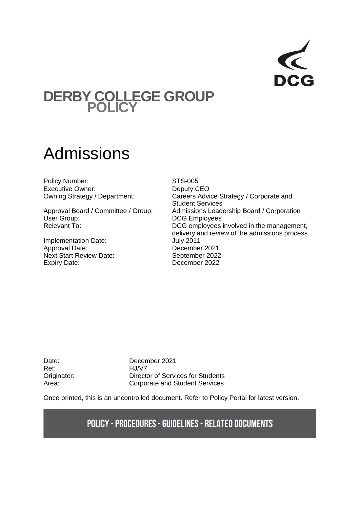

## **DERBY COLLEGE GROUP POLICY**

# Admissions

Policy Number: STS-005 Executive Owner: Deputy CEO

User Group: Calculate Contract Contract DCG Employees

Implementation Date: July 2011<br>Approval Date: Decembe Next Start Review Date: September 2022 Expiry Date: December 2022

Owning Strategy / Department: Careers Advice Strategy / Corporate and Student Services Approval Board / Committee / Group: Admissions Leadership Board / Corporation Relevant To: The management,  $DCG$  employees involved in the management, delivery and review of the admissions process December 2021

Ref: HJ/V7

Date: December 2021 Originator: Director of Services for Students Area: Corporate and Student Services

Once printed, this is an uncontrolled document. Refer to Policy Portal for latest version.

## **POLICY - PROCEDURES - GUIDELINES - RELATED DOCUMENTS**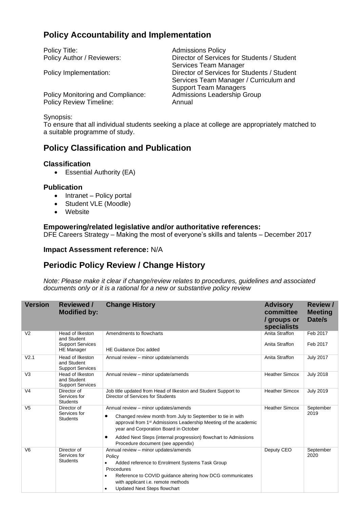## **Policy Accountability and Implementation**

Policy Title:<br>
Policy Author / Reviewers:<br>
Director of Service

Director of Services for Students / Student Services Team Manager Policy Implementation: Director of Services for Students / Student Services Team Manager / Curriculum and Support Team Managers

Policy Monitoring and Compliance: Admissions Leadership Group Policy Review Timeline: Annual

#### Synopsis:

To ensure that all individual students seeking a place at college are appropriately matched to a suitable programme of study.

## **Policy Classification and Publication**

#### **Classification**

• Essential Authority (EA)

#### **Publication**

- Intranet Policy portal
- Student VLE (Moodle)
- Website

#### **Empowering/related legislative and/or authoritative references:**

DFE Careers Strategy – Making the most of everyone's skills and talents – December 2017

**Impact Assessment reference:** N/A

## **Periodic Policy Review / Change History**

*Note: Please make it clear if change/review relates to procedures, guidelines and associated documents only or it is a rational for a new or substantive policy review*

| <b>Version</b>   | <b>Reviewed /</b><br><b>Modified by:</b>                                        | <b>Change History</b>                                                                                                                                                                                                                                                                                                                   | <b>Advisory</b><br>committee<br>/ groups or<br>specialists | Review /<br><b>Meeting</b><br>Date/s |
|------------------|---------------------------------------------------------------------------------|-----------------------------------------------------------------------------------------------------------------------------------------------------------------------------------------------------------------------------------------------------------------------------------------------------------------------------------------|------------------------------------------------------------|--------------------------------------|
| V <sub>2</sub>   | Head of Ilkeston<br>and Student<br><b>Support Services</b><br><b>HE</b> Manager | Amendments to flowcharts<br>HE Guidance Doc added                                                                                                                                                                                                                                                                                       | Anita Straffon<br>Anita Straffon                           | Feb 2017<br>Feb 2017                 |
| V <sub>2.1</sub> | Head of Ilkeston<br>and Student<br><b>Support Services</b>                      | Annual review - minor update/amends                                                                                                                                                                                                                                                                                                     | Anita Straffon                                             | <b>July 2017</b>                     |
| V <sub>3</sub>   | Head of Ilkeston<br>and Student<br><b>Support Services</b>                      | Annual review - minor update/amends                                                                                                                                                                                                                                                                                                     | <b>Heather Simcox</b>                                      | <b>July 2018</b>                     |
| V <sub>4</sub>   | Director of<br>Services for<br><b>Students</b>                                  | Job title updated from Head of Ilkeston and Student Support to<br>Director of Services for Students                                                                                                                                                                                                                                     | <b>Heather Simcox</b>                                      | <b>July 2019</b>                     |
| V <sub>5</sub>   | Director of<br>Services for<br><b>Students</b>                                  | Annual review - minor updates/amends<br>Changed review month from July to September to tie in with<br>approval from 1 <sup>st</sup> Admissions Leadership Meeting of the academic<br>year and Corporation Board in October<br>Added Next Steps (internal progression) flowchart to Admissions<br>٠<br>Procedure document (see appendix) | <b>Heather Simcox</b>                                      | September<br>2019                    |
| V <sub>6</sub>   | Director of<br>Services for<br><b>Students</b>                                  | Annual review - minor updates/amends<br>Policy<br>Added reference to Enrolment Systems Task Group<br>٠<br>Procedures<br>Reference to COVID guidance altering how DCG communicates<br>٠<br>with applicant i.e. remote methods<br><b>Updated Next Steps flowchart</b><br>٠                                                                | Deputy CEO                                                 | September<br>2020                    |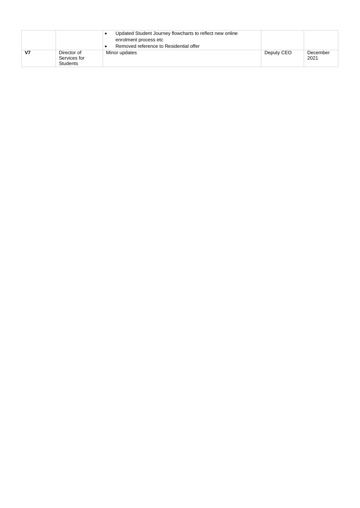|    |                                                | Updated Student Journey flowcharts to reflect new online<br>enrolment process etc<br>Removed reference to Residential offer |            |                  |
|----|------------------------------------------------|-----------------------------------------------------------------------------------------------------------------------------|------------|------------------|
| V7 | Director of<br>Services for<br><b>Students</b> | Minor updates                                                                                                               | Deputy CEO | December<br>2021 |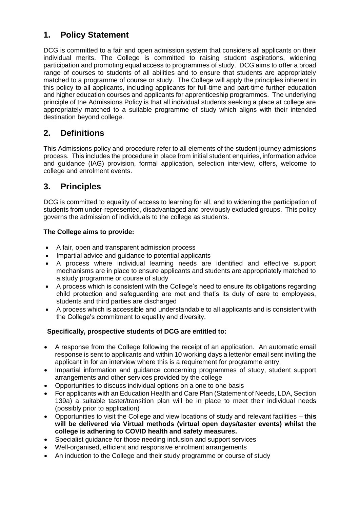## **1. Policy Statement**

DCG is committed to a fair and open admission system that considers all applicants on their individual merits. The College is committed to raising student aspirations, widening participation and promoting equal access to programmes of study. DCG aims to offer a broad range of courses to students of all abilities and to ensure that students are appropriately matched to a programme of course or study. The College will apply the principles inherent in this policy to all applicants, including applicants for full-time and part-time further education and higher education courses and applicants for apprenticeship programmes. The underlying principle of the Admissions Policy is that all individual students seeking a place at college are appropriately matched to a suitable programme of study which aligns with their intended destination beyond college.

## **2. Definitions**

This Admissions policy and procedure refer to all elements of the student journey admissions process. This includes the procedure in place from initial student enquiries, information advice and guidance (IAG) provision, formal application, selection interview, offers, welcome to college and enrolment events.

## **3. Principles**

DCG is committed to equality of access to learning for all, and to widening the participation of students from under-represented, disadvantaged and previously excluded groups. This policy governs the admission of individuals to the college as students.

#### **The College aims to provide:**

- A fair, open and transparent admission process
- Impartial advice and guidance to potential applicants
- A process where individual learning needs are identified and effective support mechanisms are in place to ensure applicants and students are appropriately matched to a study programme or course of study
- A process which is consistent with the College's need to ensure its obligations regarding child protection and safeguarding are met and that's its duty of care to employees, students and third parties are discharged
- A process which is accessible and understandable to all applicants and is consistent with the College's commitment to equality and diversity.

#### **Specifically, prospective students of DCG are entitled to:**

- A response from the College following the receipt of an application. An automatic email response is sent to applicants and within 10 working days a letter/or email sent inviting the applicant in for an interview where this is a requirement for programme entry.
- Impartial information and guidance concerning programmes of study, student support arrangements and other services provided by the college
- Opportunities to discuss individual options on a one to one basis
- For applicants with an Education Health and Care Plan (Statement of Needs, LDA, Section 139a) a suitable taster/transition plan will be in place to meet their individual needs (possibly prior to application)
- Opportunities to visit the College and view locations of study and relevant facilities **this will be delivered via Virtual methods (virtual open days/taster events) whilst the college is adhering to COVID health and safety measures.**
- Specialist guidance for those needing inclusion and support services
- Well-organised, efficient and responsive enrolment arrangements
- An induction to the College and their study programme or course of study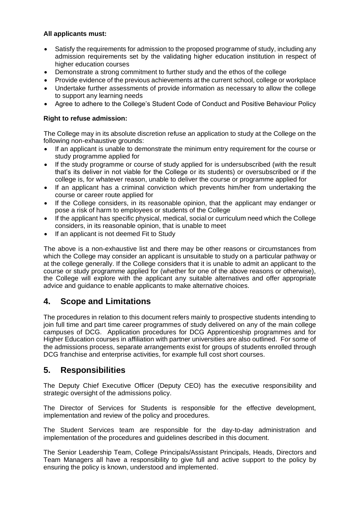#### **All applicants must:**

- Satisfy the requirements for admission to the proposed programme of study, including any admission requirements set by the validating higher education institution in respect of higher education courses
- Demonstrate a strong commitment to further study and the ethos of the college
- Provide evidence of the previous achievements at the current school, college or workplace
- Undertake further assessments of provide information as necessary to allow the college to support any learning needs
- Agree to adhere to the College's Student Code of Conduct and Positive Behaviour Policy

#### **Right to refuse admission:**

The College may in its absolute discretion refuse an application to study at the College on the following non-exhaustive grounds:

- If an applicant is unable to demonstrate the minimum entry requirement for the course or study programme applied for
- If the study programme or course of study applied for is undersubscribed (with the result that's its deliver in not viable for the College or its students) or oversubscribed or if the college is, for whatever reason, unable to deliver the course or programme applied for
- If an applicant has a criminal conviction which prevents him/her from undertaking the course or career route applied for
- If the College considers, in its reasonable opinion, that the applicant may endanger or pose a risk of harm to employees or students of the College
- If the applicant has specific physical, medical, social or curriculum need which the College considers, in its reasonable opinion, that is unable to meet
- If an applicant is not deemed Fit to Study

The above is a non-exhaustive list and there may be other reasons or circumstances from which the College may consider an applicant is unsuitable to study on a particular pathway or at the college generally. If the College considers that it is unable to admit an applicant to the course or study programme applied for (whether for one of the above reasons or otherwise), the College will explore with the applicant any suitable alternatives and offer appropriate advice and guidance to enable applicants to make alternative choices.

## **4. Scope and Limitations**

The procedures in relation to this document refers mainly to prospective students intending to join full time and part time career programmes of study delivered on any of the main college campuses of DCG. Application procedures for DCG Apprenticeship programmes and for Higher Education courses in affiliation with partner universities are also outlined. For some of the admissions process, separate arrangements exist for groups of students enrolled through DCG franchise and enterprise activities, for example full cost short courses.

## **5. Responsibilities**

The Deputy Chief Executive Officer (Deputy CEO) has the executive responsibility and strategic oversight of the admissions policy.

The Director of Services for Students is responsible for the effective development, implementation and review of the policy and procedures.

The Student Services team are responsible for the day-to-day administration and implementation of the procedures and guidelines described in this document.

The Senior Leadership Team, College Principals/Assistant Principals, Heads, Directors and Team Managers all have a responsibility to give full and active support to the policy by ensuring the policy is known, understood and implemented.